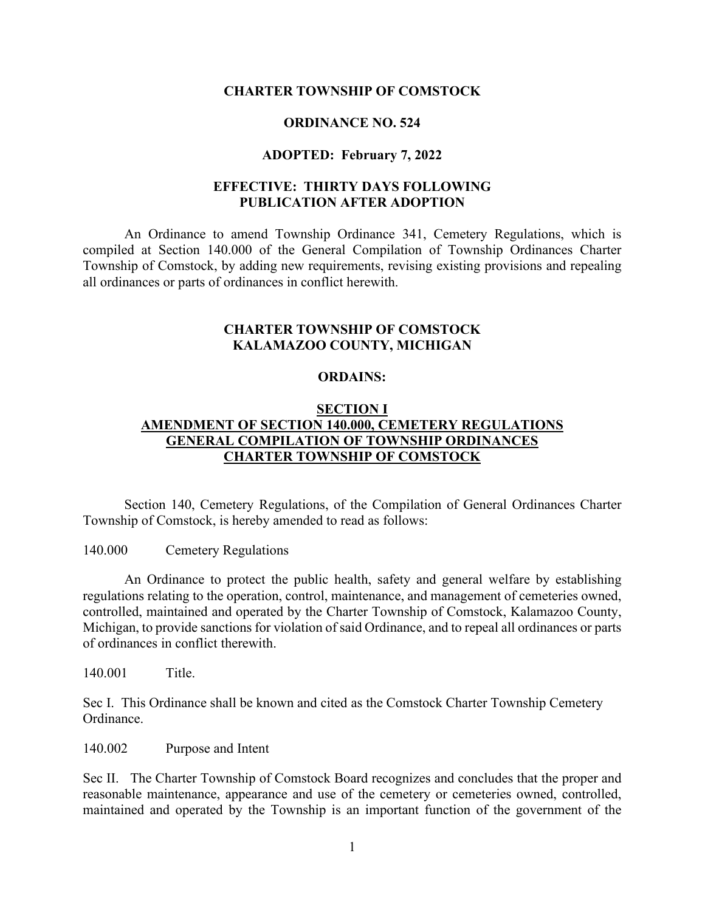#### **CHARTER TOWNSHIP OF COMSTOCK**

#### **ORDINANCE NO. 524**

### **ADOPTED: February 7, 2022**

## **EFFECTIVE: THIRTY DAYS FOLLOWING PUBLICATION AFTER ADOPTION**

An Ordinance to amend Township Ordinance 341, Cemetery Regulations, which is compiled at Section 140.000 of the General Compilation of Township Ordinances Charter Township of Comstock, by adding new requirements, revising existing provisions and repealing all ordinances or parts of ordinances in conflict herewith.

## **CHARTER TOWNSHIP OF COMSTOCK KALAMAZOO COUNTY, MICHIGAN**

#### **ORDAINS:**

## **SECTION I AMENDMENT OF SECTION 140.000, CEMETERY REGULATIONS GENERAL COMPILATION OF TOWNSHIP ORDINANCES CHARTER TOWNSHIP OF COMSTOCK**

Section 140, Cemetery Regulations, of the Compilation of General Ordinances Charter Township of Comstock, is hereby amended to read as follows:

#### 140.000 Cemetery Regulations

An Ordinance to protect the public health, safety and general welfare by establishing regulations relating to the operation, control, maintenance, and management of cemeteries owned, controlled, maintained and operated by the Charter Township of Comstock, Kalamazoo County, Michigan, to provide sanctions for violation of said Ordinance, and to repeal all ordinances or parts of ordinances in conflict therewith.

140.001 Title.

Sec I. This Ordinance shall be known and cited as the Comstock Charter Township Cemetery Ordinance.

140.002 Purpose and Intent

Sec II. The Charter Township of Comstock Board recognizes and concludes that the proper and reasonable maintenance, appearance and use of the cemetery or cemeteries owned, controlled, maintained and operated by the Township is an important function of the government of the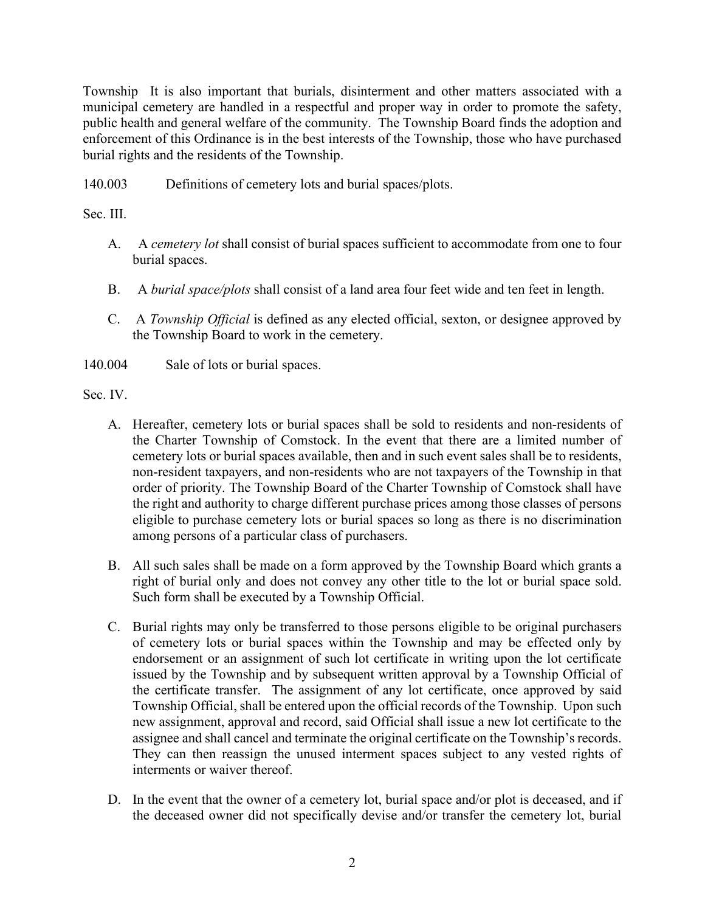Township It is also important that burials, disinterment and other matters associated with a municipal cemetery are handled in a respectful and proper way in order to promote the safety, public health and general welfare of the community. The Township Board finds the adoption and enforcement of this Ordinance is in the best interests of the Township, those who have purchased burial rights and the residents of the Township.

140.003 Definitions of cemetery lots and burial spaces/plots.

Sec. III.

- A. A *cemetery lot* shall consist of burial spaces sufficient to accommodate from one to four burial spaces.
- B. A *burial space/plots* shall consist of a land area four feet wide and ten feet in length.
- C. A *Township Official* is defined as any elected official, sexton, or designee approved by the Township Board to work in the cemetery.
- 140.004 Sale of lots or burial spaces.

Sec. IV.

- A. Hereafter, cemetery lots or burial spaces shall be sold to residents and non-residents of the Charter Township of Comstock. In the event that there are a limited number of cemetery lots or burial spaces available, then and in such event sales shall be to residents, non-resident taxpayers, and non-residents who are not taxpayers of the Township in that order of priority. The Township Board of the Charter Township of Comstock shall have the right and authority to charge different purchase prices among those classes of persons eligible to purchase cemetery lots or burial spaces so long as there is no discrimination among persons of a particular class of purchasers.
- B. All such sales shall be made on a form approved by the Township Board which grants a right of burial only and does not convey any other title to the lot or burial space sold. Such form shall be executed by a Township Official.
- C. Burial rights may only be transferred to those persons eligible to be original purchasers of cemetery lots or burial spaces within the Township and may be effected only by endorsement or an assignment of such lot certificate in writing upon the lot certificate issued by the Township and by subsequent written approval by a Township Official of the certificate transfer. The assignment of any lot certificate, once approved by said Township Official, shall be entered upon the official records of the Township. Upon such new assignment, approval and record, said Official shall issue a new lot certificate to the assignee and shall cancel and terminate the original certificate on the Township's records. They can then reassign the unused interment spaces subject to any vested rights of interments or waiver thereof.
- D. In the event that the owner of a cemetery lot, burial space and/or plot is deceased, and if the deceased owner did not specifically devise and/or transfer the cemetery lot, burial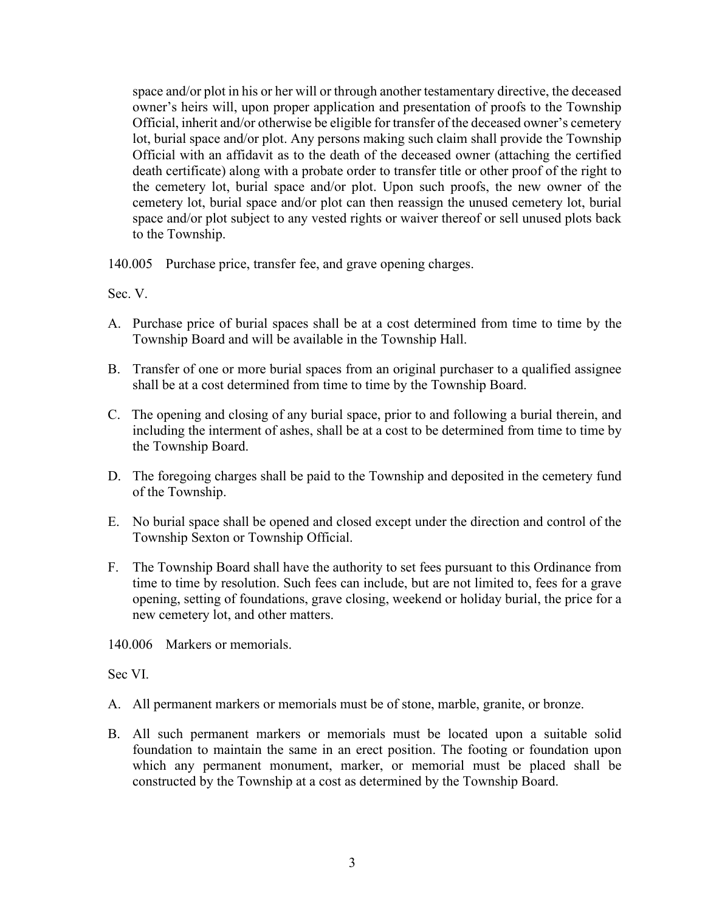space and/or plot in his or her will or through another testamentary directive, the deceased owner's heirs will, upon proper application and presentation of proofs to the Township Official, inherit and/or otherwise be eligible for transfer of the deceased owner's cemetery lot, burial space and/or plot. Any persons making such claim shall provide the Township Official with an affidavit as to the death of the deceased owner (attaching the certified death certificate) along with a probate order to transfer title or other proof of the right to the cemetery lot, burial space and/or plot. Upon such proofs, the new owner of the cemetery lot, burial space and/or plot can then reassign the unused cemetery lot, burial space and/or plot subject to any vested rights or waiver thereof or sell unused plots back to the Township.

140.005 Purchase price, transfer fee, and grave opening charges.

Sec. V.

- A. Purchase price of burial spaces shall be at a cost determined from time to time by the Township Board and will be available in the Township Hall.
- B. Transfer of one or more burial spaces from an original purchaser to a qualified assignee shall be at a cost determined from time to time by the Township Board.
- C. The opening and closing of any burial space, prior to and following a burial therein, and including the interment of ashes, shall be at a cost to be determined from time to time by the Township Board.
- D. The foregoing charges shall be paid to the Township and deposited in the cemetery fund of the Township.
- E. No burial space shall be opened and closed except under the direction and control of the Township Sexton or Township Official.
- F. The Township Board shall have the authority to set fees pursuant to this Ordinance from time to time by resolution. Such fees can include, but are not limited to, fees for a grave opening, setting of foundations, grave closing, weekend or holiday burial, the price for a new cemetery lot, and other matters.

140.006 Markers or memorials.

Sec VI.

- A. All permanent markers or memorials must be of stone, marble, granite, or bronze.
- B. All such permanent markers or memorials must be located upon a suitable solid foundation to maintain the same in an erect position. The footing or foundation upon which any permanent monument, marker, or memorial must be placed shall be constructed by the Township at a cost as determined by the Township Board.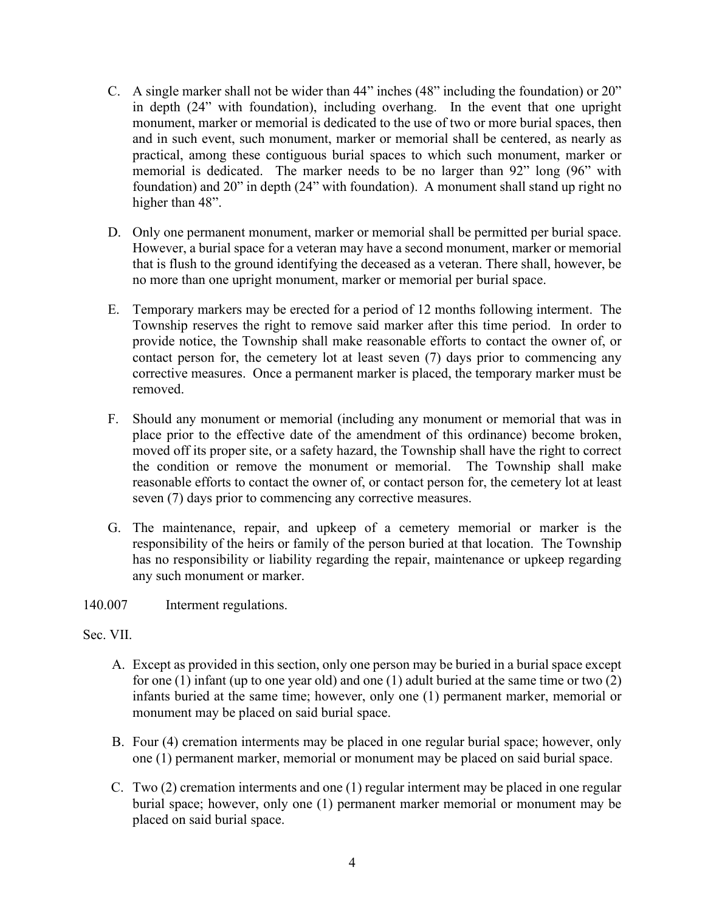- C. A single marker shall not be wider than 44" inches (48" including the foundation) or 20" in depth (24" with foundation), including overhang. In the event that one upright monument, marker or memorial is dedicated to the use of two or more burial spaces, then and in such event, such monument, marker or memorial shall be centered, as nearly as practical, among these contiguous burial spaces to which such monument, marker or memorial is dedicated. The marker needs to be no larger than 92" long (96" with foundation) and 20" in depth (24" with foundation). A monument shall stand up right no higher than 48".
- D. Only one permanent monument, marker or memorial shall be permitted per burial space. However, a burial space for a veteran may have a second monument, marker or memorial that is flush to the ground identifying the deceased as a veteran. There shall, however, be no more than one upright monument, marker or memorial per burial space.
- E. Temporary markers may be erected for a period of 12 months following interment. The Township reserves the right to remove said marker after this time period. In order to provide notice, the Township shall make reasonable efforts to contact the owner of, or contact person for, the cemetery lot at least seven (7) days prior to commencing any corrective measures. Once a permanent marker is placed, the temporary marker must be removed.
- F. Should any monument or memorial (including any monument or memorial that was in place prior to the effective date of the amendment of this ordinance) become broken, moved off its proper site, or a safety hazard, the Township shall have the right to correct the condition or remove the monument or memorial. The Township shall make reasonable efforts to contact the owner of, or contact person for, the cemetery lot at least seven (7) days prior to commencing any corrective measures.
- G. The maintenance, repair, and upkeep of a cemetery memorial or marker is the responsibility of the heirs or family of the person buried at that location. The Township has no responsibility or liability regarding the repair, maintenance or upkeep regarding any such monument or marker.
- 140.007 Interment regulations.

## Sec. VII.

- A. Except as provided in this section, only one person may be buried in a burial space except for one (1) infant (up to one year old) and one (1) adult buried at the same time or two (2) infants buried at the same time; however, only one (1) permanent marker, memorial or monument may be placed on said burial space.
- B. Four (4) cremation interments may be placed in one regular burial space; however, only one (1) permanent marker, memorial or monument may be placed on said burial space.
- C. Two (2) cremation interments and one (1) regular interment may be placed in one regular burial space; however, only one (1) permanent marker memorial or monument may be placed on said burial space.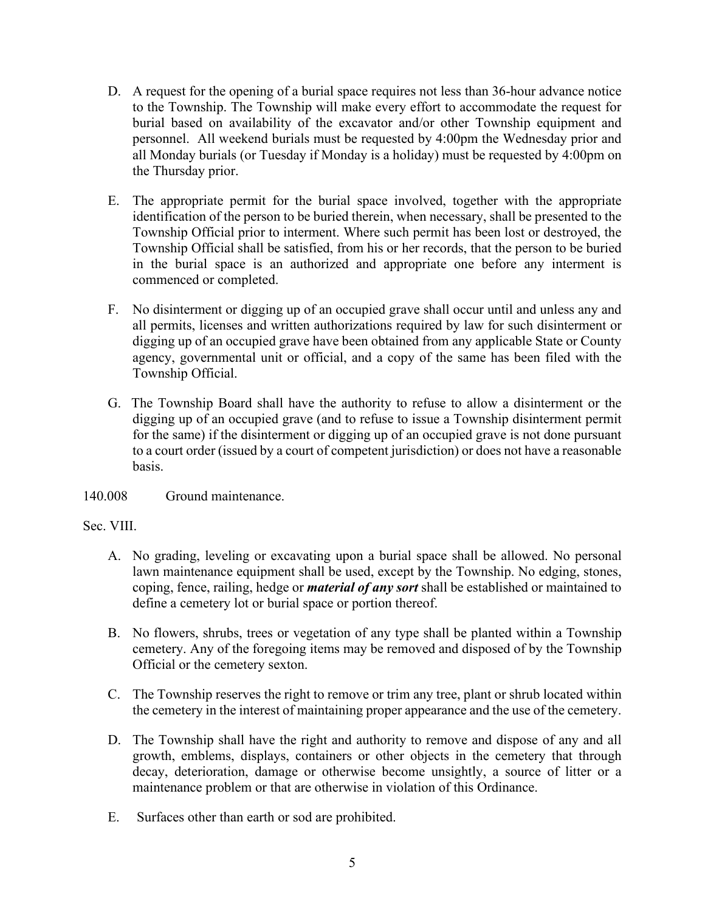- D. A request for the opening of a burial space requires not less than 36-hour advance notice to the Township. The Township will make every effort to accommodate the request for burial based on availability of the excavator and/or other Township equipment and personnel. All weekend burials must be requested by 4:00pm the Wednesday prior and all Monday burials (or Tuesday if Monday is a holiday) must be requested by 4:00pm on the Thursday prior.
- E. The appropriate permit for the burial space involved, together with the appropriate identification of the person to be buried therein, when necessary, shall be presented to the Township Official prior to interment. Where such permit has been lost or destroyed, the Township Official shall be satisfied, from his or her records, that the person to be buried in the burial space is an authorized and appropriate one before any interment is commenced or completed.
- F. No disinterment or digging up of an occupied grave shall occur until and unless any and all permits, licenses and written authorizations required by law for such disinterment or digging up of an occupied grave have been obtained from any applicable State or County agency, governmental unit or official, and a copy of the same has been filed with the Township Official.
- G. The Township Board shall have the authority to refuse to allow a disinterment or the digging up of an occupied grave (and to refuse to issue a Township disinterment permit for the same) if the disinterment or digging up of an occupied grave is not done pursuant to a court order (issued by a court of competent jurisdiction) or does not have a reasonable basis.
- 140.008 Ground maintenance.

## Sec. VIII.

- A. No grading, leveling or excavating upon a burial space shall be allowed. No personal lawn maintenance equipment shall be used, except by the Township. No edging, stones, coping, fence, railing, hedge or *material of any sort* shall be established or maintained to define a cemetery lot or burial space or portion thereof.
- B. No flowers, shrubs, trees or vegetation of any type shall be planted within a Township cemetery. Any of the foregoing items may be removed and disposed of by the Township Official or the cemetery sexton.
- C. The Township reserves the right to remove or trim any tree, plant or shrub located within the cemetery in the interest of maintaining proper appearance and the use of the cemetery.
- D. The Township shall have the right and authority to remove and dispose of any and all growth, emblems, displays, containers or other objects in the cemetery that through decay, deterioration, damage or otherwise become unsightly, a source of litter or a maintenance problem or that are otherwise in violation of this Ordinance.
- E. Surfaces other than earth or sod are prohibited.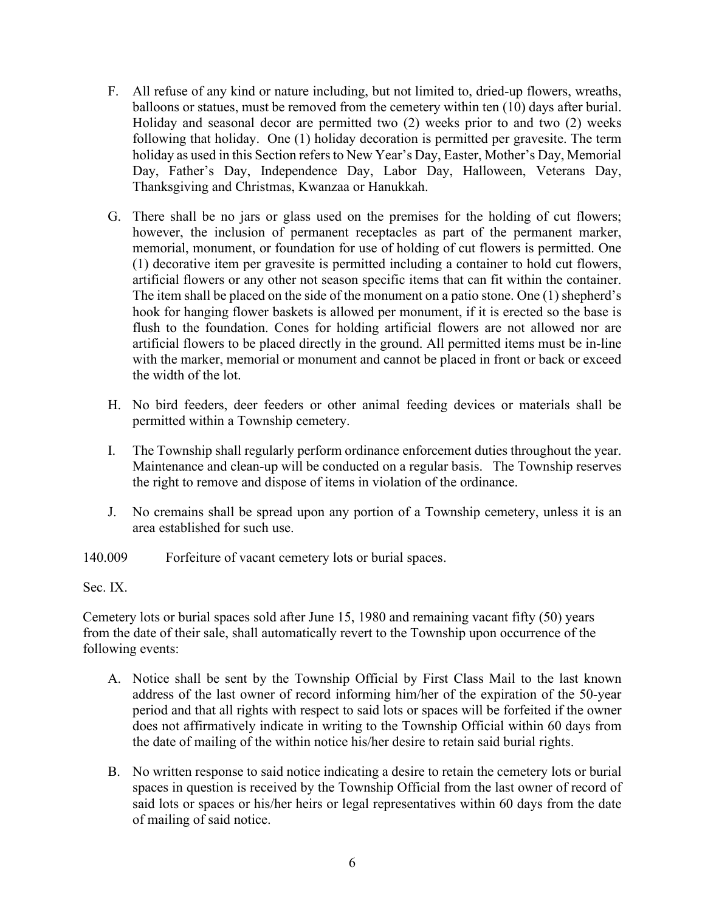- F. All refuse of any kind or nature including, but not limited to, dried-up flowers, wreaths, balloons or statues, must be removed from the cemetery within ten (10) days after burial. Holiday and seasonal decor are permitted two (2) weeks prior to and two (2) weeks following that holiday. One (1) holiday decoration is permitted per gravesite. The term holiday as used in this Section refers to New Year's Day, Easter, Mother's Day, Memorial Day, Father's Day, Independence Day, Labor Day, Halloween, Veterans Day, Thanksgiving and Christmas, Kwanzaa or Hanukkah.
- G. There shall be no jars or glass used on the premises for the holding of cut flowers; however, the inclusion of permanent receptacles as part of the permanent marker, memorial, monument, or foundation for use of holding of cut flowers is permitted. One (1) decorative item per gravesite is permitted including a container to hold cut flowers, artificial flowers or any other not season specific items that can fit within the container. The item shall be placed on the side of the monument on a patio stone. One (1) shepherd's hook for hanging flower baskets is allowed per monument, if it is erected so the base is flush to the foundation. Cones for holding artificial flowers are not allowed nor are artificial flowers to be placed directly in the ground. All permitted items must be in-line with the marker, memorial or monument and cannot be placed in front or back or exceed the width of the lot.
- H. No bird feeders, deer feeders or other animal feeding devices or materials shall be permitted within a Township cemetery.
- I. The Township shall regularly perform ordinance enforcement duties throughout the year. Maintenance and clean-up will be conducted on a regular basis. The Township reserves the right to remove and dispose of items in violation of the ordinance.
- J. No cremains shall be spread upon any portion of a Township cemetery, unless it is an area established for such use.
- 140.009 Forfeiture of vacant cemetery lots or burial spaces.

Sec. IX.

Cemetery lots or burial spaces sold after June 15, 1980 and remaining vacant fifty (50) years from the date of their sale, shall automatically revert to the Township upon occurrence of the following events:

- A. Notice shall be sent by the Township Official by First Class Mail to the last known address of the last owner of record informing him/her of the expiration of the 50-year period and that all rights with respect to said lots or spaces will be forfeited if the owner does not affirmatively indicate in writing to the Township Official within 60 days from the date of mailing of the within notice his/her desire to retain said burial rights.
- B. No written response to said notice indicating a desire to retain the cemetery lots or burial spaces in question is received by the Township Official from the last owner of record of said lots or spaces or his/her heirs or legal representatives within 60 days from the date of mailing of said notice.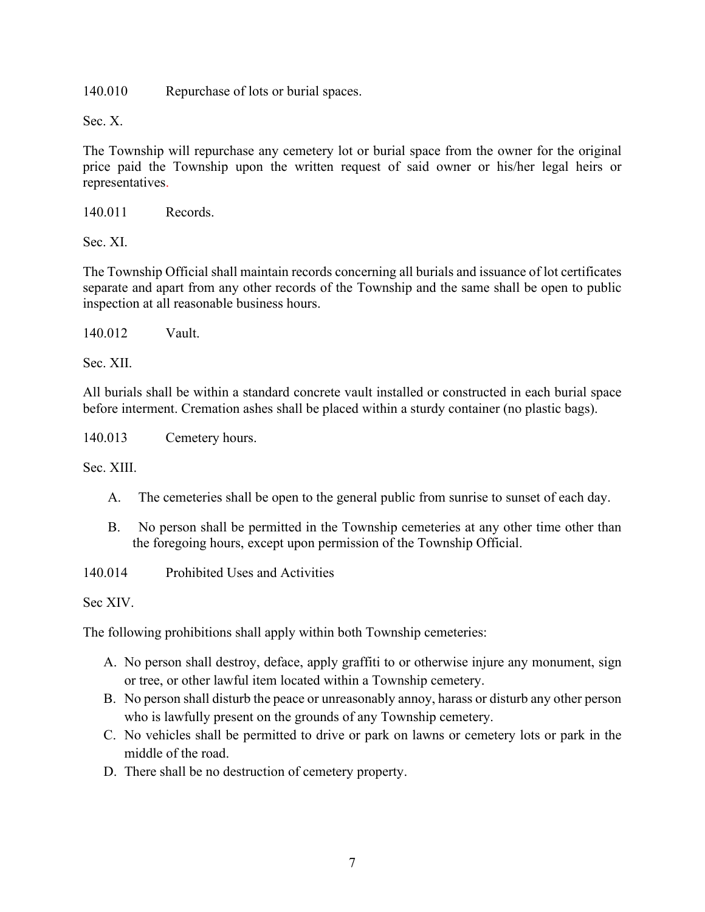140.010 Repurchase of lots or burial spaces.

Sec. X.

The Township will repurchase any cemetery lot or burial space from the owner for the original price paid the Township upon the written request of said owner or his/her legal heirs or representatives.

140.011 Records.

Sec. XI.

The Township Official shall maintain records concerning all burials and issuance of lot certificates separate and apart from any other records of the Township and the same shall be open to public inspection at all reasonable business hours.

140.012 Vault.

Sec. XII.

All burials shall be within a standard concrete vault installed or constructed in each burial space before interment. Cremation ashes shall be placed within a sturdy container (no plastic bags).

140.013 Cemetery hours.

Sec. XIII.

- A. The cemeteries shall be open to the general public from sunrise to sunset of each day.
- B. No person shall be permitted in the Township cemeteries at any other time other than the foregoing hours, except upon permission of the Township Official.

140.014 Prohibited Uses and Activities

Sec XIV.

The following prohibitions shall apply within both Township cemeteries:

- A. No person shall destroy, deface, apply graffiti to or otherwise injure any monument, sign or tree, or other lawful item located within a Township cemetery.
- B. No person shall disturb the peace or unreasonably annoy, harass or disturb any other person who is lawfully present on the grounds of any Township cemetery.
- C. No vehicles shall be permitted to drive or park on lawns or cemetery lots or park in the middle of the road.
- D. There shall be no destruction of cemetery property.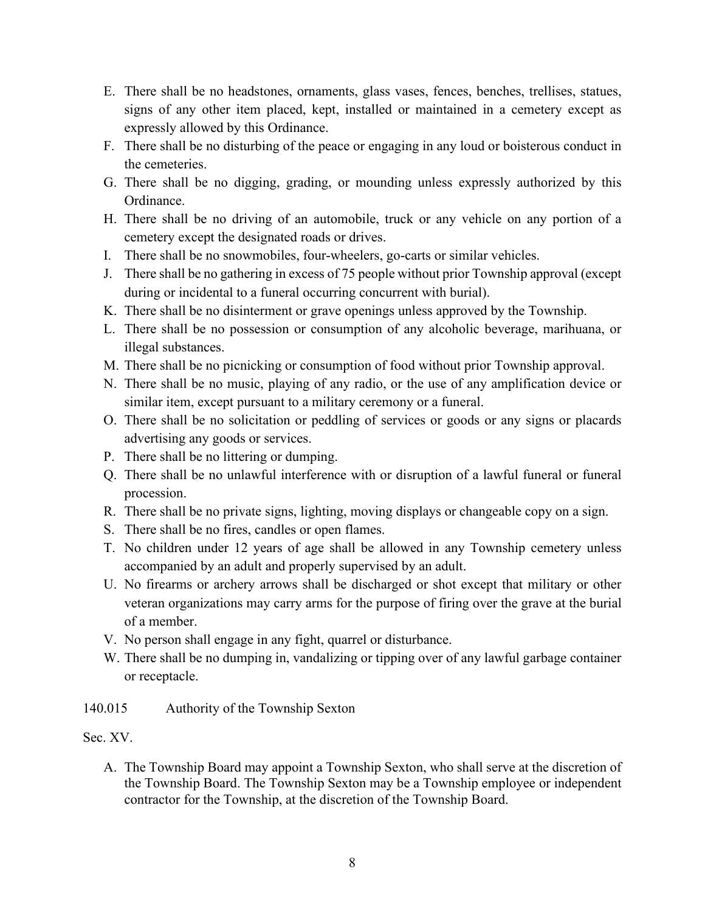- E. There shall be no headstones, ornaments, glass vases, fences, benches, trellises, statues, signs of any other item placed, kept, installed or maintained in a cemetery except as expressly allowed by this Ordinance.
- F. There shall be no disturbing of the peace or engaging in any loud or boisterous conduct in the cemeteries.
- G. There shall be no digging, grading, or mounding unless expressly authorized by this Ordinance.
- H. There shall be no driving of an automobile, truck or any vehicle on any portion of a cemetery except the designated roads or drives.
- I. There shall be no snowmobiles, four-wheelers, go-carts or similar vehicles.
- J. There shall be no gathering in excess of 75 people without prior Township approval (except during or incidental to a funeral occurring concurrent with burial).
- K. There shall be no disinterment or grave openings unless approved by the Township.
- L. There shall be no possession or consumption of any alcoholic beverage, marihuana, or illegal substances.
- M. There shall be no picnicking or consumption of food without prior Township approval.
- N. There shall be no music, playing of any radio, or the use of any amplification device or similar item, except pursuant to a military ceremony or a funeral.
- O. There shall be no solicitation or peddling of services or goods or any signs or placards advertising any goods or services.
- P. There shall be no littering or dumping.
- Q. There shall be no unlawful interference with or disruption of a lawful funeral or funeral procession.
- R. There shall be no private signs, lighting, moving displays or changeable copy on a sign.
- S. There shall be no fires, candles or open flames.
- T. No children under 12 years of age shall be allowed in any Township cemetery unless accompanied by an adult and properly supervised by an adult.
- U. No firearms or archery arrows shall be discharged or shot except that military or other veteran organizations may carry arms for the purpose of firing over the grave at the burial of a member.
- V. No person shall engage in any fight, quarrel or disturbance.
- W. There shall be no dumping in, vandalizing or tipping over of any lawful garbage container or receptacle.
- 140.015 Authority of the Township Sexton
- Sec. XV.
	- A. The Township Board may appoint a Township Sexton, who shall serve at the discretion of the Township Board. The Township Sexton may be a Township employee or independent contractor for the Township, at the discretion of the Township Board.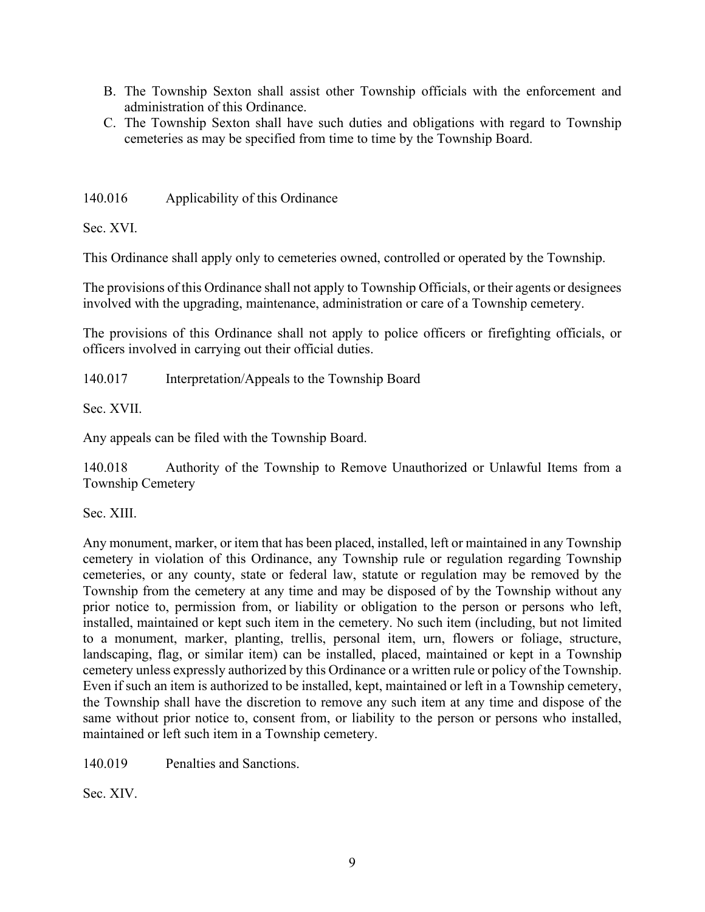- B. The Township Sexton shall assist other Township officials with the enforcement and administration of this Ordinance.
- C. The Township Sexton shall have such duties and obligations with regard to Township cemeteries as may be specified from time to time by the Township Board.

140.016 Applicability of this Ordinance

Sec. XVI.

This Ordinance shall apply only to cemeteries owned, controlled or operated by the Township.

The provisions of this Ordinance shall not apply to Township Officials, or their agents or designees involved with the upgrading, maintenance, administration or care of a Township cemetery.

The provisions of this Ordinance shall not apply to police officers or firefighting officials, or officers involved in carrying out their official duties.

140.017 Interpretation/Appeals to the Township Board

Sec. XVII.

Any appeals can be filed with the Township Board.

140.018 Authority of the Township to Remove Unauthorized or Unlawful Items from a Township Cemetery

Sec. XIII.

Any monument, marker, or item that has been placed, installed, left or maintained in any Township cemetery in violation of this Ordinance, any Township rule or regulation regarding Township cemeteries, or any county, state or federal law, statute or regulation may be removed by the Township from the cemetery at any time and may be disposed of by the Township without any prior notice to, permission from, or liability or obligation to the person or persons who left, installed, maintained or kept such item in the cemetery. No such item (including, but not limited to a monument, marker, planting, trellis, personal item, urn, flowers or foliage, structure, landscaping, flag, or similar item) can be installed, placed, maintained or kept in a Township cemetery unless expressly authorized by this Ordinance or a written rule or policy of the Township. Even if such an item is authorized to be installed, kept, maintained or left in a Township cemetery, the Township shall have the discretion to remove any such item at any time and dispose of the same without prior notice to, consent from, or liability to the person or persons who installed, maintained or left such item in a Township cemetery.

140.019 Penalties and Sanctions.

Sec. XIV.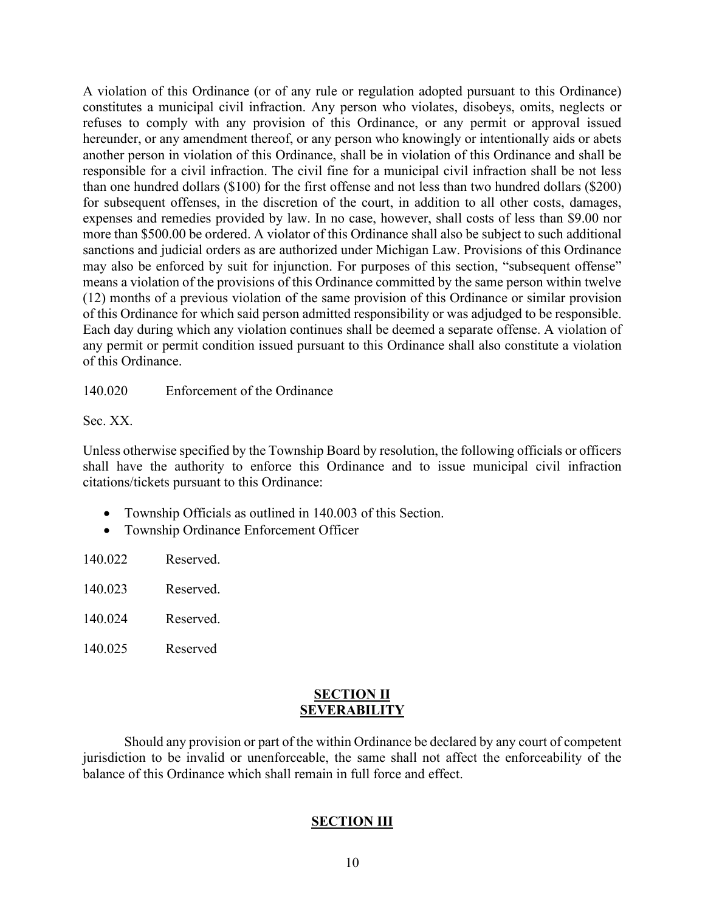A violation of this Ordinance (or of any rule or regulation adopted pursuant to this Ordinance) constitutes a municipal civil infraction. Any person who violates, disobeys, omits, neglects or refuses to comply with any provision of this Ordinance, or any permit or approval issued hereunder, or any amendment thereof, or any person who knowingly or intentionally aids or abets another person in violation of this Ordinance, shall be in violation of this Ordinance and shall be responsible for a civil infraction. The civil fine for a municipal civil infraction shall be not less than one hundred dollars (\$100) for the first offense and not less than two hundred dollars (\$200) for subsequent offenses, in the discretion of the court, in addition to all other costs, damages, expenses and remedies provided by law. In no case, however, shall costs of less than \$9.00 nor more than \$500.00 be ordered. A violator of this Ordinance shall also be subject to such additional sanctions and judicial orders as are authorized under Michigan Law. Provisions of this Ordinance may also be enforced by suit for injunction. For purposes of this section, "subsequent offense" means a violation of the provisions of this Ordinance committed by the same person within twelve (12) months of a previous violation of the same provision of this Ordinance or similar provision of this Ordinance for which said person admitted responsibility or was adjudged to be responsible. Each day during which any violation continues shall be deemed a separate offense. A violation of any permit or permit condition issued pursuant to this Ordinance shall also constitute a violation of this Ordinance.

140.020 Enforcement of the Ordinance

Sec. XX.

Unless otherwise specified by the Township Board by resolution, the following officials or officers shall have the authority to enforce this Ordinance and to issue municipal civil infraction citations/tickets pursuant to this Ordinance:

- Township Officials as outlined in 140.003 of this Section.
- Township Ordinance Enforcement Officer

| 140.022 | Reserved. |
|---------|-----------|
|         |           |

| 140.023 | Reserved. |
|---------|-----------|
|---------|-----------|

- 140.024 Reserved.
- 140.025 Reserved

## **SECTION II SEVERABILITY**

Should any provision or part of the within Ordinance be declared by any court of competent jurisdiction to be invalid or unenforceable, the same shall not affect the enforceability of the balance of this Ordinance which shall remain in full force and effect.

# **SECTION III**